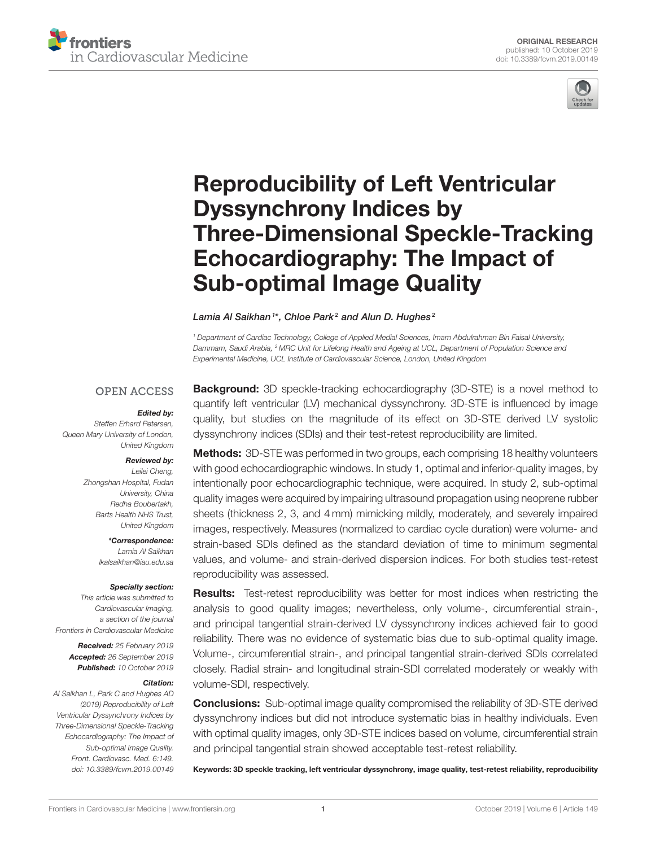



# Reproducibility of Left Ventricular Dyssynchrony Indices by [Three-Dimensional Speckle-Tracking](https://www.frontiersin.org/articles/10.3389/fcvm.2019.00149/full) Echocardiography: The Impact of Sub-optimal Image Quality

#### [Lamia Al Saikhan](http://loop.frontiersin.org/people/693491/overview)  $1^\star$ , Chloe Park $^2$  and [Alun D. Hughes](http://loop.frontiersin.org/people/15173/overview)  $^2$

*<sup>1</sup> Department of Cardiac Technology, College of Applied Medial Sciences, Imam Abdulrahman Bin Faisal University, Dammam, Saudi Arabia, <sup>2</sup> MRC Unit for Lifelong Health and Ageing at UCL, Department of Population Science and Experimental Medicine, UCL Institute of Cardiovascular Science, London, United Kingdom*

#### **OPEN ACCESS**

#### Edited by:

*Steffen Erhard Petersen, Queen Mary University of London, United Kingdom*

#### Reviewed by:

*Leilei Cheng, Zhongshan Hospital, Fudan University, China Redha Boubertakh, Barts Health NHS Trust, United Kingdom*

> \*Correspondence: *Lamia Al Saikhan [lkalsaikhan@iau.edu.sa](mailto:lkalsaikhan@iau.edu.sa)*

#### Specialty section:

*This article was submitted to Cardiovascular Imaging, a section of the journal Frontiers in Cardiovascular Medicine*

> Received: *25 February 2019* Accepted: *26 September 2019* Published: *10 October 2019*

#### Citation:

*Al Saikhan L, Park C and Hughes AD (2019) Reproducibility of Left Ventricular Dyssynchrony Indices by Three-Dimensional Speckle-Tracking Echocardiography: The Impact of Sub-optimal Image Quality. Front. Cardiovasc. Med. 6:149. doi: [10.3389/fcvm.2019.00149](https://doi.org/10.3389/fcvm.2019.00149)*

**Background:** 3D speckle-tracking echocardiography (3D-STE) is a novel method to quantify left ventricular (LV) mechanical dyssynchrony. 3D-STE is influenced by image quality, but studies on the magnitude of its effect on 3D-STE derived LV systolic dyssynchrony indices (SDIs) and their test-retest reproducibility are limited.

Methods: 3D-STE was performed in two groups, each comprising 18 healthy volunteers with good echocardiographic windows. In study 1, optimal and inferior-quality images, by intentionally poor echocardiographic technique, were acquired. In study 2, sub-optimal quality images were acquired by impairing ultrasound propagation using neoprene rubber sheets (thickness 2, 3, and 4 mm) mimicking mildly, moderately, and severely impaired images, respectively. Measures (normalized to cardiac cycle duration) were volume- and strain-based SDIs defined as the standard deviation of time to minimum segmental values, and volume- and strain-derived dispersion indices. For both studies test-retest reproducibility was assessed.

Results: Test-retest reproducibility was better for most indices when restricting the analysis to good quality images; nevertheless, only volume-, circumferential strain-, and principal tangential strain-derived LV dyssynchrony indices achieved fair to good reliability. There was no evidence of systematic bias due to sub-optimal quality image. Volume-, circumferential strain-, and principal tangential strain-derived SDIs correlated closely. Radial strain- and longitudinal strain-SDI correlated moderately or weakly with volume-SDI, respectively.

Conclusions: Sub-optimal image quality compromised the reliability of 3D-STE derived dyssynchrony indices but did not introduce systematic bias in healthy individuals. Even with optimal quality images, only 3D-STE indices based on volume, circumferential strain and principal tangential strain showed acceptable test-retest reliability.

Keywords: 3D speckle tracking, left ventricular dyssynchrony, image quality, test-retest reliability, reproducibility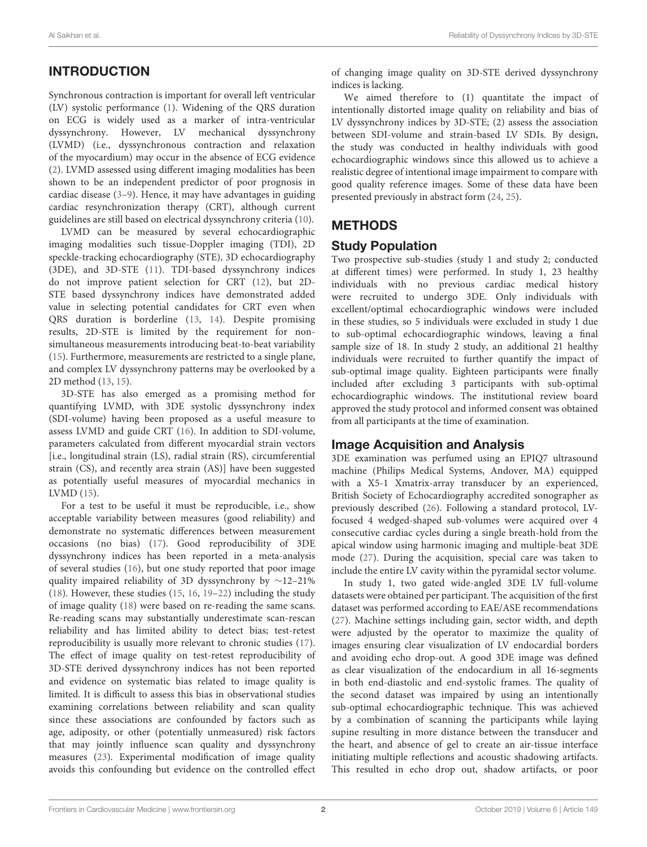# INTRODUCTION

Synchronous contraction is important for overall left ventricular (LV) systolic performance [\(1\)](#page-8-0). Widening of the QRS duration on ECG is widely used as a marker of intra-ventricular dyssynchrony. However, LV mechanical dyssynchrony (LVMD) (i.e., dyssynchronous contraction and relaxation of the myocardium) may occur in the absence of ECG evidence [\(2\)](#page-8-1). LVMD assessed using different imaging modalities has been shown to be an independent predictor of poor prognosis in cardiac disease [\(3](#page-8-2)[–9\)](#page-8-3). Hence, it may have advantages in guiding cardiac resynchronization therapy (CRT), although current guidelines are still based on electrical dyssynchrony criteria [\(10\)](#page-8-4).

LVMD can be measured by several echocardiographic imaging modalities such tissue-Doppler imaging (TDI), 2D speckle-tracking echocardiography (STE), 3D echocardiography (3DE), and 3D-STE [\(11\)](#page-8-5). TDI-based dyssynchrony indices do not improve patient selection for CRT [\(12\)](#page-8-6), but 2D-STE based dyssynchrony indices have demonstrated added value in selecting potential candidates for CRT even when QRS duration is borderline [\(13,](#page-8-7) [14\)](#page-8-8). Despite promising results, 2D-STE is limited by the requirement for nonsimultaneous measurements introducing beat-to-beat variability [\(15\)](#page-8-9). Furthermore, measurements are restricted to a single plane, and complex LV dyssynchrony patterns may be overlooked by a 2D method [\(13,](#page-8-7) [15\)](#page-8-9).

3D-STE has also emerged as a promising method for quantifying LVMD, with 3DE systolic dyssynchrony index (SDI-volume) having been proposed as a useful measure to assess LVMD and guide CRT [\(16\)](#page-8-10). In addition to SDI-volume, parameters calculated from different myocardial strain vectors [i.e., longitudinal strain (LS), radial strain (RS), circumferential strain (CS), and recently area strain (AS)] have been suggested as potentially useful measures of myocardial mechanics in LVMD [\(15\)](#page-8-9).

For a test to be useful it must be reproducible, i.e., show acceptable variability between measures (good reliability) and demonstrate no systematic differences between measurement occasions (no bias) [\(17\)](#page-8-11). Good reproducibility of 3DE dyssynchrony indices has been reported in a meta-analysis of several studies [\(16\)](#page-8-10), but one study reported that poor image quality impaired reliability of 3D dyssynchrony by ∼12–21% [\(18\)](#page-8-12). However, these studies [\(15,](#page-8-9) [16,](#page-8-10) [19–](#page-8-13)[22\)](#page-8-14) including the study of image quality [\(18\)](#page-8-12) were based on re-reading the same scans. Re-reading scans may substantially underestimate scan-rescan reliability and has limited ability to detect bias; test-retest reproducibility is usually more relevant to chronic studies [\(17\)](#page-8-11). The effect of image quality on test-retest reproducibility of 3D-STE derived dyssynchrony indices has not been reported and evidence on systematic bias related to image quality is limited. It is difficult to assess this bias in observational studies examining correlations between reliability and scan quality since these associations are confounded by factors such as age, adiposity, or other (potentially unmeasured) risk factors that may jointly influence scan quality and dyssynchrony measures [\(23\)](#page-8-15). Experimental modification of image quality avoids this confounding but evidence on the controlled effect of changing image quality on 3D-STE derived dyssynchrony indices is lacking.

We aimed therefore to (1) quantitate the impact of intentionally distorted image quality on reliability and bias of LV dyssynchrony indices by 3D-STE; (2) assess the association between SDI-volume and strain-based LV SDIs. By design, the study was conducted in healthy individuals with good echocardiographic windows since this allowed us to achieve a realistic degree of intentional image impairment to compare with good quality reference images. Some of these data have been presented previously in abstract form [\(24,](#page-8-16) [25\)](#page-8-17).

# METHODS

## Study Population

Two prospective sub-studies (study 1 and study 2; conducted at different times) were performed. In study 1, 23 healthy individuals with no previous cardiac medical history were recruited to undergo 3DE. Only individuals with excellent/optimal echocardiographic windows were included in these studies, so 5 individuals were excluded in study 1 due to sub-optimal echocardiographic windows, leaving a final sample size of 18. In study 2 study, an additional 21 healthy individuals were recruited to further quantify the impact of sub-optimal image quality. Eighteen participants were finally included after excluding 3 participants with sub-optimal echocardiographic windows. The institutional review board approved the study protocol and informed consent was obtained from all participants at the time of examination.

## Image Acquisition and Analysis

3DE examination was perfumed using an EPIQ7 ultrasound machine (Philips Medical Systems, Andover, MA) equipped with a X5-1 Xmatrix-array transducer by an experienced, British Society of Echocardiography accredited sonographer as previously described [\(26\)](#page-8-18). Following a standard protocol, LVfocused 4 wedged-shaped sub-volumes were acquired over 4 consecutive cardiac cycles during a single breath-hold from the apical window using harmonic imaging and multiple-beat 3DE mode [\(27\)](#page-8-19). During the acquisition, special care was taken to include the entire LV cavity within the pyramidal sector volume.

In study 1, two gated wide-angled 3DE LV full-volume datasets were obtained per participant. The acquisition of the first dataset was performed according to EAE/ASE recommendations [\(27\)](#page-8-19). Machine settings including gain, sector width, and depth were adjusted by the operator to maximize the quality of images ensuring clear visualization of LV endocardial borders and avoiding echo drop-out. A good 3DE image was defined as clear visualization of the endocardium in all 16-segments in both end-diastolic and end-systolic frames. The quality of the second dataset was impaired by using an intentionally sub-optimal echocardiographic technique. This was achieved by a combination of scanning the participants while laying supine resulting in more distance between the transducer and the heart, and absence of gel to create an air-tissue interface initiating multiple reflections and acoustic shadowing artifacts. This resulted in echo drop out, shadow artifacts, or poor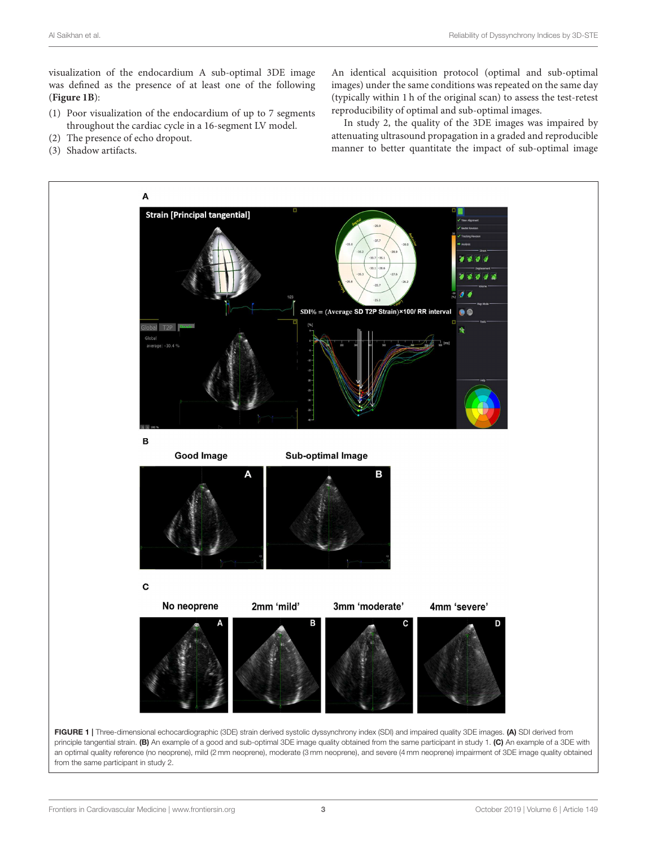visualization of the endocardium A sub-optimal 3DE image was defined as the presence of at least one of the following (**[Figure 1B](#page-2-0)**):

- (1) Poor visualization of the endocardium of up to 7 segments throughout the cardiac cycle in a 16-segment LV model.
- (2) The presence of echo dropout. (3) Shadow artifacts.

An identical acquisition protocol (optimal and sub-optimal images) under the same conditions was repeated on the same day (typically within 1 h of the original scan) to assess the test-retest reproducibility of optimal and sub-optimal images.

In study 2, the quality of the 3DE images was impaired by attenuating ultrasound propagation in a graded and reproducible manner to better quantitate the impact of sub-optimal image



<span id="page-2-0"></span>principle tangential strain. (B) An example of a good and sub-optimal 3DE image quality obtained from the same participant in study 1. (C) An example of a 3DE with an optimal quality reference (no neoprene), mild (2 mm neoprene), moderate (3 mm neoprene), and severe (4 mm neoprene) impairment of 3DE image quality obtained from the same participant in study 2.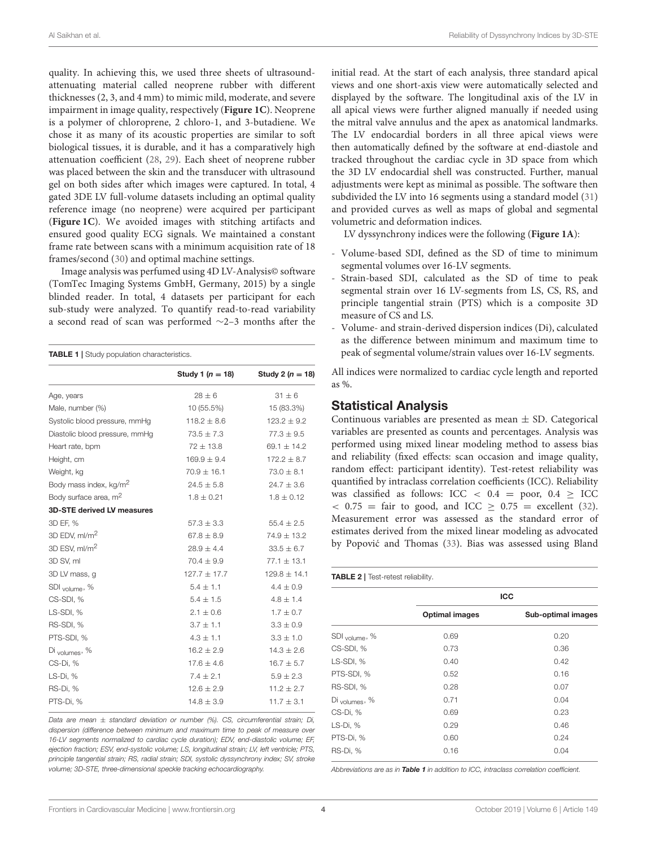quality. In achieving this, we used three sheets of ultrasoundattenuating material called neoprene rubber with different thicknesses (2, 3, and 4 mm) to mimic mild, moderate, and severe impairment in image quality, respectively (**[Figure 1C](#page-2-0)**). Neoprene is a polymer of chloroprene, 2 chloro-1, and 3-butadiene. We chose it as many of its acoustic properties are similar to soft biological tissues, it is durable, and it has a comparatively high attenuation coefficient [\(28,](#page-8-20) [29\)](#page-8-21). Each sheet of neoprene rubber was placed between the skin and the transducer with ultrasound gel on both sides after which images were captured. In total, 4 gated 3DE LV full-volume datasets including an optimal quality reference image (no neoprene) were acquired per participant (**[Figure 1C](#page-2-0)**). We avoided images with stitching artifacts and ensured good quality ECG signals. We maintained a constant frame rate between scans with a minimum acquisition rate of 18 frames/second [\(30\)](#page-8-22) and optimal machine settings.

Image analysis was perfumed using 4D LV-Analysis© software (TomTec Imaging Systems GmbH, Germany, 2015) by a single blinded reader. In total, 4 datasets per participant for each sub-study were analyzed. To quantify read-to-read variability a second read of scan was performed ∼2–3 months after the

<span id="page-3-0"></span>

| <b>TABLE 1</b>   Study population characteristics. |  |
|----------------------------------------------------|--|
|----------------------------------------------------|--|

|                                    | Study 1 ( $n = 18$ ) | Study 2 ( $n = 18$ ) |
|------------------------------------|----------------------|----------------------|
| Age, years                         | $28 \pm 6$           | $31 \pm 6$           |
| Male, number (%)                   | 10 (55.5%)           | 15 (83.3%)           |
| Systolic blood pressure, mmHg      | $118.2 \pm 8.6$      | $123.2 \pm 9.2$      |
| Diastolic blood pressure, mmHg     | $73.5 \pm 7.3$       | $77.3 \pm 9.5$       |
| Heart rate, bpm                    | $72 \pm 13.8$        | 69.1 $\pm$ 14.2      |
| Height, cm                         | $169.9 \pm 9.4$      | $172.2 \pm 8.7$      |
| Weight, kg                         | $70.9 \pm 16.1$      | $73.0 \pm 8.1$       |
| Body mass index, kg/m <sup>2</sup> | $24.5 \pm 5.8$       | $24.7 \pm 3.6$       |
| Body surface area, m <sup>2</sup>  | $1.8 \pm 0.21$       | $1.8 \pm 0.12$       |
| <b>3D-STE derived LV measures</b>  |                      |                      |
| 3D EF, %                           | $57.3 \pm 3.3$       | $55.4 \pm 2.5$       |
| 3D EDV, ml/m <sup>2</sup>          | $67.8 \pm 8.9$       | $74.9 \pm 13.2$      |
| 3D ESV, ml/m <sup>2</sup>          | $28.9 \pm 4.4$       | $33.5 \pm 6.7$       |
| 3D SV, ml                          | $70.4 \pm 9.9$       | $77.1 \pm 13.1$      |
| 3D LV mass, g                      | $127.7 \pm 17.7$     | $129.8 \pm 14.1$     |
| $SDI$ <sub>volume</sub> , %        | $5.4 \pm 1.1$        | $4.4 \pm 0.9$        |
| CS-SDI, %                          | $5.4 \pm 1.5$        | $4.8 \pm 1.4$        |
| LS-SDI, %                          | $2.1 \pm 0.6$        | $1.7 \pm 0.7$        |
| RS-SDI, %                          | $3.7 \pm 1.1$        | $3.3 \pm 0.9$        |
| PTS-SDI, %                         | $4.3 \pm 1.1$        | $3.3 \pm 1.0$        |
| $Di$ <sub>Volumes</sub> , %        | $16.2 \pm 2.9$       | $14.3 \pm 2.6$       |
| CS-Di, %                           | $17.6 \pm 4.6$       | $16.7 \pm 5.7$       |
| LS-Di, %                           | $7.4 \pm 2.1$        | $5.9 \pm 2.3$        |
| RS-Di, %                           | $12.6 \pm 2.9$       | $11.2 \pm 2.7$       |
| PTS-Di, %                          | $14.8 \pm 3.9$       | $11.7 \pm 3.1$       |

*Data are mean* ± *standard deviation or number (%). CS, circumferential strain; Di, dispersion (difference between minimum and maximum time to peak of measure over 16-LV segments normalized to cardiac cycle duration); EDV, end-diastolic volume; EF, ejection fraction; ESV, end-systolic volume; LS, longitudinal strain; LV, left ventricle; PTS, principle tangential strain; RS, radial strain; SDI, systolic dyssynchrony index; SV, stroke volume; 3D-STE, three-dimensional speckle tracking echocardiography.*

initial read. At the start of each analysis, three standard apical views and one short-axis view were automatically selected and displayed by the software. The longitudinal axis of the LV in all apical views were further aligned manually if needed using the mitral valve annulus and the apex as anatomical landmarks. The LV endocardial borders in all three apical views were then automatically defined by the software at end-diastole and tracked throughout the cardiac cycle in 3D space from which the 3D LV endocardial shell was constructed. Further, manual adjustments were kept as minimal as possible. The software then subdivided the LV into 16 segments using a standard model [\(31\)](#page-8-23) and provided curves as well as maps of global and segmental volumetric and deformation indices.

LV dyssynchrony indices were the following (**[Figure 1A](#page-2-0)**):

- Volume-based SDI, defined as the SD of time to minimum segmental volumes over 16-LV segments.
- Strain-based SDI, calculated as the SD of time to peak segmental strain over 16 LV-segments from LS, CS, RS, and principle tangential strain (PTS) which is a composite 3D measure of CS and LS.
- Volume- and strain-derived dispersion indices (Di), calculated as the difference between minimum and maximum time to peak of segmental volume/strain values over 16-LV segments.

All indices were normalized to cardiac cycle length and reported as %.

#### Statistical Analysis

Continuous variables are presented as mean  $\pm$  SD. Categorical variables are presented as counts and percentages. Analysis was performed using mixed linear modeling method to assess bias and reliability (fixed effects: scan occasion and image quality, random effect: participant identity). Test-retest reliability was quantified by intraclass correlation coefficients (ICC). Reliability was classified as follows: ICC  $\langle 0.4 \rangle$  = poor,  $0.4 \rangle$  ICC  $<$  0.75 = fair to good, and ICC  $\ge$  0.75 = excellent [\(32\)](#page-8-24). Measurement error was assessed as the standard error of estimates derived from the mixed linear modeling as advocated by Popović and Thomas ([33\)](#page-9-0). Bias was assessed using Bland

<span id="page-3-1"></span>

|                           |                       | <b>ICC</b>         |
|---------------------------|-----------------------|--------------------|
|                           | <b>Optimal images</b> | Sub-optimal images |
| SDI <sub>volume</sub> , % | 0.69                  | 0.20               |
| CS-SDI, %                 | 0.73                  | 0.36               |
| LS-SDI, %                 | 0.40                  | 0.42               |
| PTS-SDI, %                | 0.52                  | 0.16               |
| RS-SDI, %                 | 0.28                  | 0.07               |
| Di <sub>volumes</sub> , % | 0.71                  | 0.04               |
| CS-Di, %                  | 0.69                  | 0.23               |
| LS-Di, %                  | 0.29                  | 0.46               |
| PTS-Di, %                 | 0.60                  | 0.24               |
| RS-Di, %                  | 0.16                  | 0.04               |

*Abbreviations are as in* [Table 1](#page-3-0) *in addition to ICC, intraclass correlation coefficient.*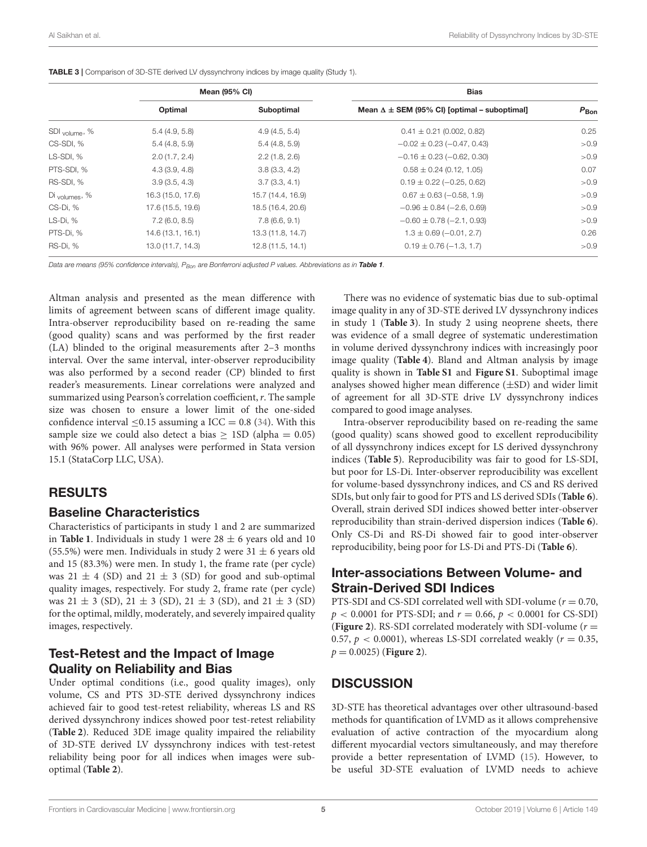|                           | <b>Mean (95% CI)</b> |                   | <b>Bias</b>                                           |                  |
|---------------------------|----------------------|-------------------|-------------------------------------------------------|------------------|
|                           | Optimal              | Suboptimal        | Mean $\Delta \pm$ SEM (95% CI) [optimal – suboptimal] | $P_{\text{Bon}}$ |
| SDI <sub>volume</sub> , % | 5.4(4.9, 5.8)        | 4.9(4.5, 5.4)     | $0.41 \pm 0.21$ (0.002, 0.82)                         | 0.25             |
| CS-SDI, %                 | 5.4(4.8, 5.9)        | 5.4(4.8, 5.9)     | $-0.02 \pm 0.23 (-0.47, 0.43)$                        | >0.9             |
| LS-SDI, %                 | 2.0(1.7, 2.4)        | 2.2(1.8, 2.6)     | $-0.16 \pm 0.23 (-0.62, 0.30)$                        | >0.9             |
| PTS-SDI, %                | 4.3(3.9, 4.8)        | 3.8(3.3, 4.2)     | $0.58 \pm 0.24$ (0.12, 1.05)                          | 0.07             |
| RS-SDI, %                 | 3.9(3.5, 4.3)        | 3.7(3.3, 4.1)     | $0.19 \pm 0.22$ (-0.25, 0.62)                         | >0.9             |
| Di <sub>volumes</sub> , % | 16.3 (15.0, 17.6)    | 15.7 (14.4, 16.9) | $0.67 \pm 0.63 (-0.58, 1.9)$                          | >0.9             |
| CS-Di, %                  | 17.6 (15.5, 19.6)    | 18.5 (16.4, 20.6) | $-0.96 \pm 0.84 (-2.6, 0.69)$                         | >0.9             |
| LS-Di, %                  | $7.2$ (6.0, 8.5)     | 7.8(6.6, 9.1)     | $-0.60 \pm 0.78 (-2.1, 0.93)$                         | >0.9             |
| PTS-Di, %                 | 14.6 (13.1, 16.1)    | 13.3 (11.8, 14.7) | $1.3 \pm 0.69 (-0.01, 2.7)$                           | 0.26             |
| RS-Di, %                  | 13.0 (11.7, 14.3)    | 12.8 (11.5, 14.1) | $0.19 \pm 0.76 (-1.3, 1.7)$                           | >0.9             |

<span id="page-4-0"></span>TABLE 3 | Comparison of 3D-STE derived LV dyssynchrony indices by image quality (Study 1).

*Data are means (95% confidence intervals), PBon are Bonferroni adjusted P values. Abbreviations as in* [Table 1](#page-3-0)*.*

Altman analysis and presented as the mean difference with limits of agreement between scans of different image quality. Intra-observer reproducibility based on re-reading the same (good quality) scans and was performed by the first reader (LA) blinded to the original measurements after 2–3 months interval. Over the same interval, inter-observer reproducibility was also performed by a second reader (CP) blinded to first reader's measurements. Linear correlations were analyzed and summarized using Pearson's correlation coefficient,  $r$ . The sample size was chosen to ensure a lower limit of the one-sided confidence interval  $\leq$ 0.15 assuming a ICC = 0.8 [\(34\)](#page-9-1). With this sample size we could also detect a bias  $> 1SD$  (alpha = 0.05) with 96% power. All analyses were performed in Stata version 15.1 (StataCorp LLC, USA).

#### RESULTS

#### Baseline Characteristics

Characteristics of participants in study 1 and 2 are summarized in **[Table 1](#page-3-0)**. Individuals in study 1 were  $28 \pm 6$  years old and 10 (55.5%) were men. Individuals in study 2 were  $31 \pm 6$  years old and 15 (83.3%) were men. In study 1, the frame rate (per cycle) was 21  $\pm$  4 (SD) and 21  $\pm$  3 (SD) for good and sub-optimal quality images, respectively. For study 2, frame rate (per cycle) was  $21 \pm 3$  (SD),  $21 \pm 3$  (SD),  $21 \pm 3$  (SD), and  $21 \pm 3$  (SD) for the optimal, mildly, moderately, and severely impaired quality images, respectively.

#### Test-Retest and the Impact of Image Quality on Reliability and Bias

Under optimal conditions (i.e., good quality images), only volume, CS and PTS 3D-STE derived dyssynchrony indices achieved fair to good test-retest reliability, whereas LS and RS derived dyssynchrony indices showed poor test-retest reliability (**[Table 2](#page-3-1)**). Reduced 3DE image quality impaired the reliability of 3D-STE derived LV dyssynchrony indices with test-retest reliability being poor for all indices when images were suboptimal (**[Table 2](#page-3-1)**).

There was no evidence of systematic bias due to sub-optimal image quality in any of 3D-STE derived LV dyssynchrony indices in study 1 (**[Table 3](#page-4-0)**). In study 2 using neoprene sheets, there was evidence of a small degree of systematic underestimation in volume derived dyssynchrony indices with increasingly poor image quality (**[Table 4](#page-5-0)**). Bland and Altman analysis by image quality is shown in **[Table S1](#page-7-0)** and **[Figure S1](#page-7-0)**. Suboptimal image analyses showed higher mean difference  $(\pm SD)$  and wider limit of agreement for all 3D-STE drive LV dyssynchrony indices compared to good image analyses.

Intra-observer reproducibility based on re-reading the same (good quality) scans showed good to excellent reproducibility of all dyssynchrony indices except for LS derived dyssynchrony indices (**[Table 5](#page-6-0)**). Reproducibility was fair to good for LS-SDI, but poor for LS-Di. Inter-observer reproducibility was excellent for volume-based dyssynchrony indices, and CS and RS derived SDIs, but only fair to good for PTS and LS derived SDIs (**[Table 6](#page-6-1)**). Overall, strain derived SDI indices showed better inter-observer reproducibility than strain-derived dispersion indices (**[Table 6](#page-6-1)**). Only CS-Di and RS-Di showed fair to good inter-observer reproducibility, being poor for LS-Di and PTS-Di (**[Table 6](#page-6-1)**).

## Inter-associations Between Volume- and Strain-Derived SDI Indices

PTS-SDI and CS-SDI correlated well with SDI-volume ( $r = 0.70$ ,  $p < 0.0001$  for PTS-SDI; and  $r = 0.66$ ,  $p < 0.0001$  for CS-SDI) (**[Figure 2](#page-7-1)**). RS-SDI correlated moderately with SDI-volume ( $r =$ 0.57,  $p < 0.0001$ ), whereas LS-SDI correlated weakly ( $r = 0.35$ ,  $p = 0.0025$  (**[Figure 2](#page-7-1)**).

## **DISCUSSION**

3D-STE has theoretical advantages over other ultrasound-based methods for quantification of LVMD as it allows comprehensive evaluation of active contraction of the myocardium along different myocardial vectors simultaneously, and may therefore provide a better representation of LVMD [\(15\)](#page-8-9). However, to be useful 3D-STE evaluation of LVMD needs to achieve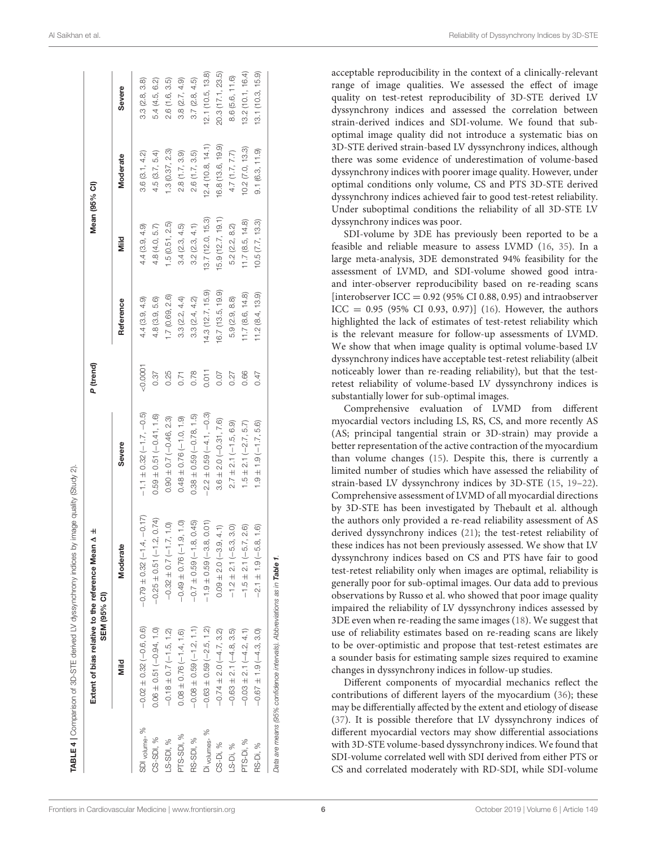|                           |                              | Extent of bias relative to the reference Mean $\Delta \pm$<br>SEM (95% CI) |                              | P (trend) |                   |                   | Mean (95% CI)     |                   |
|---------------------------|------------------------------|----------------------------------------------------------------------------|------------------------------|-----------|-------------------|-------------------|-------------------|-------------------|
|                           | Mild                         | Moderate                                                                   | Severe                       |           | Reference         | Mild              | <b>Moderate</b>   | Severe            |
| SDI <sub>volume</sub> , % | $-0.02 \pm 0.32 (-0.6, 0.6)$ | $-0.79 \pm 0.32 (-1.4, -0.17)$                                             | $-1.1 \pm 0.32 (-1.7, -0.5)$ | 0.0001    | 4.4(3.9, 4.9)     | 4.4(3.9, 4.9)     | 3.6(3.1, 4.2)     | 3.3(2.8, 3.8)     |
| CS-SDI, %                 | $0.06 \pm 0.51 (-0.94, 1.0)$ | $-0.25 \pm 0.51 (-1.2, 0.74)$                                              | $0.59 \pm 0.51 (-0.41, 1.6)$ | 0.37      | 4.8(3.9, 5.6)     | 4.8(4.0, 5.7)     | 4.5(3.7, 5.4)     | 5.4 (4.5, 6.2)    |
| LS-SDI, %                 | $-0.18 \pm 0.7 (-1.5, 1.2)$  | $-1.7, 1.0$<br>$-0.32 \pm 0.7$                                             | $0.90 \pm 0.7 (-0.46, 2.3)$  | 0.25      | 1.7 (0.69, 2.6)   | 1.5(0.51, 2.5)    | 1.3(0.37, 2.3)    | 2.6(1.6, 3.5)     |
| <b>PTS-SDI, %</b>         | $0.08 \pm 0.76 (-1.4, 1.6)$  | $(-1.9, 1.0)$<br>$-0.49 \pm 0.76$                                          | $0.48 \pm 0.76 (-1.0, 1.9)$  | 0.71      | 3.3(2.2, 4.4)     | 3.4(2.3, 4.5)     | 2.8(1.7, 3.9)     | 3.8(2.7, 4.9)     |
| RS-SDI, %                 | $-0.08 \pm 0.59 (-1.2, 1.1)$ | $-0.7 \pm 0.59 (-1.8, 0.45)$                                               | $0.38 \pm 0.59 (-0.78, 1.5)$ | 0.78      | 3.3(2.4, 4.2)     | 3.2(2.3, 4.1)     | 2.6(1.7, 3.5)     | 3.7(2.8, 4.5)     |
| Di volumes, %             | $-0.63 \pm 0.59 (-2.5, 1.2)$ | $-1.9 \pm 0.59(-3.8, 0.01)$                                                | $-2.2 \pm 0.59 (-4.1, -0.3)$ | 0.011     | 14.3 (12.7, 15.9) | 13.7 (12.0, 15.3) | 12.4(10.8, 14.1)  | 12.1 (10.5, 13.8) |
| CS-Di, %                  | $-0.74 \pm 2.0 (-4.7, 3.2)$  | $0.09 \pm 2.0 (-3.9, 4.1)$                                                 | $3.6 \pm 2.0 (-0.31, 7.6)$   | 0.07      | 16.7 (13.5, 19.9) | 15.9 (12.7, 19.1) | 16.8 (13.6, 19.9) | 20.3 (17.1, 23.5) |
| LS-Di, %                  | $-0.63 \pm 2.1 (-4.8, 3.5)$  | $-1.2 \pm 2.1 (-5.3, 3.0)$                                                 | $2.7 \pm 2.1 (-1.5, 6.9)$    | 0.27      | 5.9 (2.9, 8.8)    | 5.2 (2.2, 8.2)    | 4.7(1.7, 7.7)     | 8.6 (5.6, 11.6)   |
| PTS-Di, %                 | $-0.03 \pm 2.1 (-4.2, 4.1)$  | $-1.5 \pm 2.1 (-5.7, 2.6)$                                                 | $1.5 \pm 2.1 (-2.7, 5.7)$    | 0.66      | 11.7(8.6, 14.8)   | 11.7(8.5, 14.8)   | 0.2(7.0, 13.3)    | 13.2 (10.1, 16.4) |
| RS-Di, %                  | $-0.67 \pm 1.9 (-4.3, 3.0)$  | $-2.1 \pm 1.9 (-5.8, 1.6)$                                                 | $1.9 \pm 1.9$ $(-1.7, 5.6)$  | 0.47      | 11.2(8.4, 13.9)   | 10.5(7.7, 13.3)   | 9.1(6.3, 11.9)    | 13.1 (10.3, 15.9) |

acceptable reproducibility in the context of a clinically-relevant range of image qualities. We assessed the effect of image quality on test-retest reproducibility of 3D-STE derived LV dyssynchrony indices and assessed the correlation between strain-derived indices and SDI-volume. We found that suboptimal image quality did not introduce a systematic bias on 3D-STE derived strain-based LV dyssynchrony indices, although there was some evidence of underestimation of volume-based dyssynchrony indices with poorer image quality. However, under optimal conditions only volume, CS and PTS 3D-STE derived dyssynchrony indices achieved fair to good test-retest reliability. Under suboptimal conditions the reliability of all 3D-STE LV dyssynchrony indices was poor.

SDI-volume by 3DE has previously been reported to be a feasible and reliable measure to assess LVMD [\(16,](#page-8-10) [35\)](#page-9-2). In a large meta-analysis, 3DE demonstrated 94% feasibility for the assessment of LVMD, and SDI-volume showed good intraand inter-observer reproducibility based on re-reading scans [interobserver ICC =  $0.92$  (95% CI 0.88, 0.95) and intraobserver  $ICC = 0.95 (95\% CI 0.93, 0.97)]$  [\(16\)](#page-8-10). However, the authors highlighted the lack of estimates of test-retest reliability which is the relevant measure for follow-up assessments of LVMD. We show that when image quality is optimal volume-based LV dyssynchrony indices have acceptable test-retest reliability (albeit noticeably lower than re-reading reliability), but that the testretest reliability of volume-based LV dyssynchrony indices is substantially lower for sub-optimal images.

Comprehensive evaluation of LVMD from different myocardial vectors including LS, RS, CS, and more recently AS (AS; principal tangential strain or 3D-strain) may provide a better representation of the active contraction of the myocardium than volume changes [\(15\)](#page-8-9). Despite this, there is currently a limited number of studies which have assessed the reliability of strain-based LV dyssynchrony indices by 3D-STE [\(15,](#page-8-9) [19–](#page-8-13)[22\)](#page-8-14). Comprehensive assessment of LVMD of all myocardial directions by 3D-STE has been investigated by Thebault et al. although the authors only provided a re-read reliability assessment of AS derived dyssynchrony indices [\(21\)](#page-8-25); the test-retest reliability of these indices has not been previously assessed. We show that LV dyssynchrony indices based on CS and PTS have fair to good test-retest reliability only when images are optimal, reliability is generally poor for sub-optimal images. Our data add to previous observations by Russo et al. who showed that poor image quality impaired the reliability of LV dyssynchrony indices assessed by 3DE even when re-reading the same images [\(18\)](#page-8-12). We suggest that use of reliability estimates based on re-reading scans are likely to be over-optimistic and propose that test-retest estimates are a sounder basis for estimating sample sizes required to examine changes in dyssynchrony indices in follow-up studies.

<span id="page-5-0"></span>Different components of myocardial mechanics reflect the contributions of different layers of the myocardium [\(36\)](#page-9-3); these may be differentially affected by the extent and etiology of disease [\(37\)](#page-9-4). It is possible therefore that LV dyssynchrony indices of different myocardial vectors may show differential associations with 3D-STE volume-based dyssynchrony indices. We found that SDI-volume correlated well with SDI derived from either PTS or CS and correlated moderately with RD-SDI, while SDI-volume

IABLE 4 | Comparison of 3D-STE derived LV dyssynchrony indices by image quality (Study 2).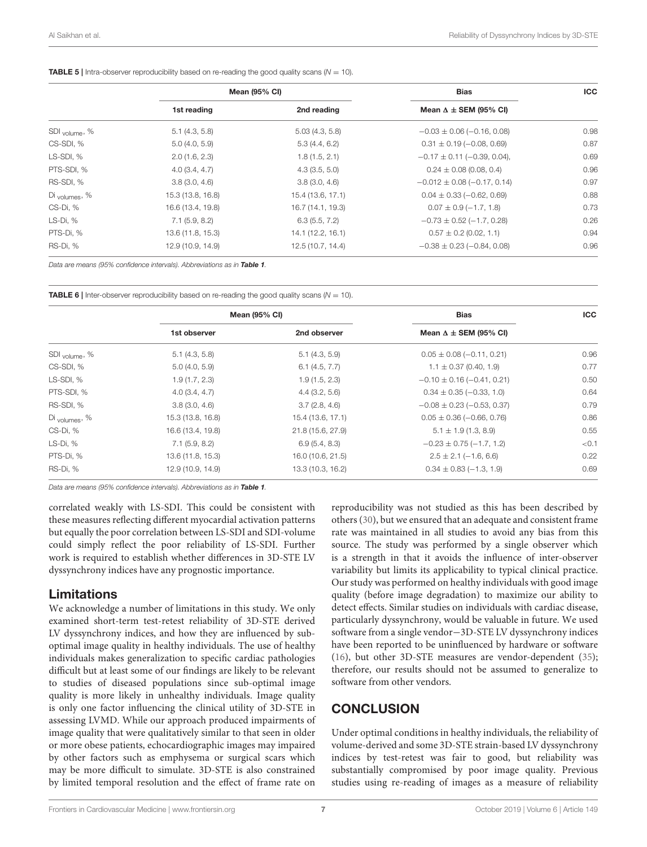<span id="page-6-0"></span>**TABLE 5** | Intra-observer reproducibility based on re-reading the good quality scans ( $N = 10$ ).

|                           | <b>Mean (95% CI)</b> |                   | <b>Bias</b>                        | <b>ICC</b> |
|---------------------------|----------------------|-------------------|------------------------------------|------------|
|                           | 1st reading          | 2nd reading       | Mean $\Delta \pm$ SEM (95% CI)     |            |
| SDI <sub>volume</sub> , % | 5.1(4.3, 5.8)        | 5.03(4.3, 5.8)    | $-0.03 \pm 0.06 (-0.16, 0.08)$     | 0.98       |
| CS-SDI, %                 | 5.0(4.0, 5.9)        | 5.3(4.4, 6.2)     | $0.31 \pm 0.19 (-0.08, 0.69)$      | 0.87       |
| LS-SDI, %                 | 2.0(1.6, 2.3)        | 1.8(1.5, 2.1)     | $-0.17 \pm 0.11 (-0.39, 0.04)$ ,   | 0.69       |
| PTS-SDI, %                | 4.0(3.4, 4.7)        | 4.3(3.5, 5.0)     | $0.24 \pm 0.08$ (0.08, 0.4)        | 0.96       |
| RS-SDI, %                 | 3.8(3.0, 4.6)        | 3.8(3.0, 4.6)     | $-0.012 \pm 0.08 (-0.17, 0.14)$    | 0.97       |
| Di <sub>volumes</sub> , % | 15.3 (13.8, 16.8)    | 15.4 (13.6, 17.1) | $0.04 \pm 0.33 (-0.62, 0.69)$      | 0.88       |
| CS-Di, %                  | 16.6 (13.4, 19.8)    | 16.7 (14.1, 19.3) | $0.07 \pm 0.9 (-1.7, 1.8)$         | 0.73       |
| LS-Di, %                  | 7.1(5.9, 8.2)        | 6.3(5.5, 7.2)     | $-0.73 \pm 0.52 (-1.7, 0.28)$      | 0.26       |
| PTS-Di, %                 | 13.6 (11.8, 15.3)    | 14.1 (12.2, 16.1) | $0.57 \pm 0.2$ (0.02, 1.1)         | 0.94       |
| RS-Di, %                  | 12.9 (10.9, 14.9)    | 12.5 (10.7, 14.4) | $-0.38 \pm 0.23$ ( $-0.84$ , 0.08) | 0.96       |

*Data are means (95% confidence intervals). Abbreviations as in* [Table 1](#page-3-0)*.*

<span id="page-6-1"></span>**TABLE 6** | Inter-observer reproducibility based on re-reading the good quality scans  $(N = 10)$ .

|                           | <b>Mean (95% CI)</b> |                   | <b>Bias</b>                    | <b>ICC</b> |
|---------------------------|----------------------|-------------------|--------------------------------|------------|
|                           | 1st observer         | 2nd observer      | Mean $\Delta \pm$ SEM (95% CI) |            |
| SDI <sub>volume</sub> , % | 5.1(4.3, 5.8)        | 5.1(4.3, 5.9)     | $0.05 \pm 0.08 (-0.11, 0.21)$  | 0.96       |
| CS-SDI, %                 | 5.0(4.0, 5.9)        | 6.1(4.5, 7.7)     | $1.1 \pm 0.37$ (0.40, 1.9)     | 0.77       |
| LS-SDI, %                 | 1.9(1.7, 2.3)        | 1.9(1.5, 2.3)     | $-0.10 \pm 0.16 (-0.41, 0.21)$ | 0.50       |
| PTS-SDI, %                | 4.0(3.4, 4.7)        | 4.4(3.2, 5.6)     | $0.34 \pm 0.35 (-0.33, 1.0)$   | 0.64       |
| RS-SDI, %                 | 3.8(3.0, 4.6)        | 3.7(2.8, 4.6)     | $-0.08 \pm 0.23 (-0.53, 0.37)$ | 0.79       |
| Di <sub>volumes</sub> , % | 15.3 (13.8, 16.8)    | 15.4 (13.6, 17.1) | $0.05 \pm 0.36 (-0.66, 0.76)$  | 0.86       |
| CS-Di, %                  | 16.6 (13.4, 19.8)    | 21.8 (15.6, 27.9) | $5.1 \pm 1.9$ (1.3, 8.9)       | 0.55       |
| $LS-Di, %$                | 7.1(5.9, 8.2)        | 6.9(5.4, 8.3)     | $-0.23 \pm 0.75 (-1.7, 1.2)$   | < 0.1      |
| PTS-Di, %                 | 13.6 (11.8, 15.3)    | 16.0 (10.6, 21.5) | $2.5 \pm 2.1 (-1.6, 6.6)$      | 0.22       |
| RS-Di, %                  | 12.9 (10.9, 14.9)    | 13.3 (10.3, 16.2) | $0.34 \pm 0.83 (-1.3, 1.9)$    | 0.69       |

*Data are means (95% confidence intervals). Abbreviations as in* [Table 1](#page-3-0)*.*

correlated weakly with LS-SDI. This could be consistent with these measures reflecting different myocardial activation patterns but equally the poor correlation between LS-SDI and SDI-volume could simply reflect the poor reliability of LS-SDI. Further work is required to establish whether differences in 3D-STE LV dyssynchrony indices have any prognostic importance.

#### Limitations

We acknowledge a number of limitations in this study. We only examined short-term test-retest reliability of 3D-STE derived LV dyssynchrony indices, and how they are influenced by suboptimal image quality in healthy individuals. The use of healthy individuals makes generalization to specific cardiac pathologies difficult but at least some of our findings are likely to be relevant to studies of diseased populations since sub-optimal image quality is more likely in unhealthy individuals. Image quality is only one factor influencing the clinical utility of 3D-STE in assessing LVMD. While our approach produced impairments of image quality that were qualitatively similar to that seen in older or more obese patients, echocardiographic images may impaired by other factors such as emphysema or surgical scars which may be more difficult to simulate. 3D-STE is also constrained by limited temporal resolution and the effect of frame rate on reproducibility was not studied as this has been described by others [\(30\)](#page-8-22), but we ensured that an adequate and consistent frame rate was maintained in all studies to avoid any bias from this source. The study was performed by a single observer which is a strength in that it avoids the influence of inter-observer variability but limits its applicability to typical clinical practice. Our study was performed on healthy individuals with good image quality (before image degradation) to maximize our ability to detect effects. Similar studies on individuals with cardiac disease, particularly dyssynchrony, would be valuable in future. We used software from a single vendor−3D-STE LV dyssynchrony indices have been reported to be uninfluenced by hardware or software [\(16\)](#page-8-10), but other 3D-STE measures are vendor-dependent [\(35\)](#page-9-2); therefore, our results should not be assumed to generalize to software from other vendors.

## **CONCLUSION**

Under optimal conditions in healthy individuals, the reliability of volume-derived and some 3D-STE strain-based LV dyssynchrony indices by test-retest was fair to good, but reliability was substantially compromised by poor image quality. Previous studies using re-reading of images as a measure of reliability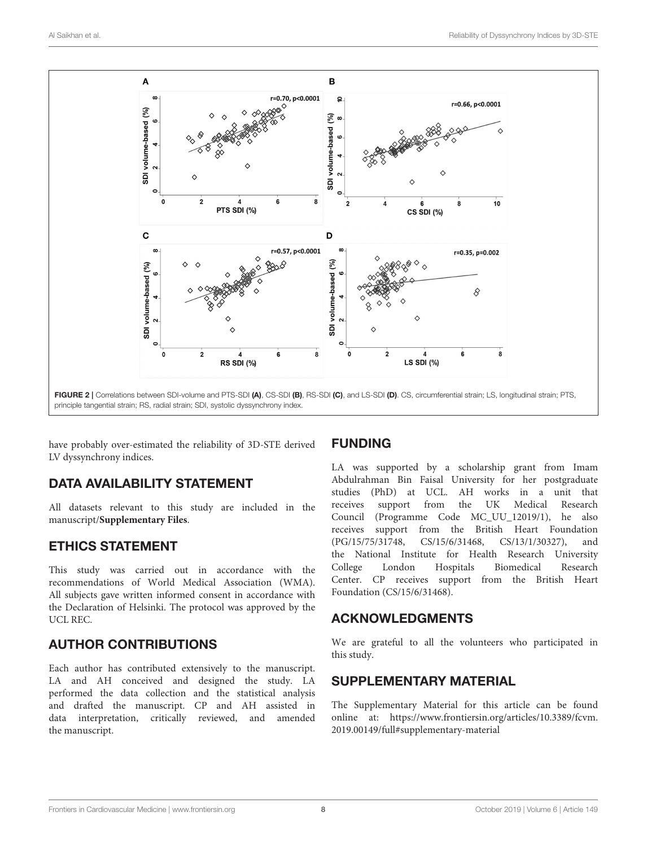

<span id="page-7-1"></span>have probably over-estimated the reliability of 3D-STE derived LV dyssynchrony indices.

# DATA AVAILABILITY STATEMENT

All datasets relevant to this study are included in the manuscript/**[Supplementary Files](#page-7-0)**.

## ETHICS STATEMENT

This study was carried out in accordance with the recommendations of World Medical Association (WMA). All subjects gave written informed consent in accordance with the Declaration of Helsinki. The protocol was approved by the UCL REC.

# AUTHOR CONTRIBUTIONS

Each author has contributed extensively to the manuscript. LA and AH conceived and designed the study. LA performed the data collection and the statistical analysis and drafted the manuscript. CP and AH assisted in data interpretation, critically reviewed, and amended the manuscript.

## FUNDING

LA was supported by a scholarship grant from Imam Abdulrahman Bin Faisal University for her postgraduate studies (PhD) at UCL. AH works in a unit that receives support from the UK Medical Research Council (Programme Code MC\_UU\_12019/1), he also receives support from the British Heart Foundation (PG/15/75/31748, CS/15/6/31468, CS/13/1/30327), and the National Institute for Health Research University College London Hospitals Biomedical Research Center. CP receives support from the British Heart Foundation (CS/15/6/31468).

## ACKNOWLEDGMENTS

We are grateful to all the volunteers who participated in this study.

## SUPPLEMENTARY MATERIAL

<span id="page-7-0"></span>The Supplementary Material for this article can be found [online at: https://www.frontiersin.org/articles/10.3389/fcvm.](https://www.frontiersin.org/articles/10.3389/fcvm.2019.00149/full#supplementary-material) 2019.00149/full#supplementary-material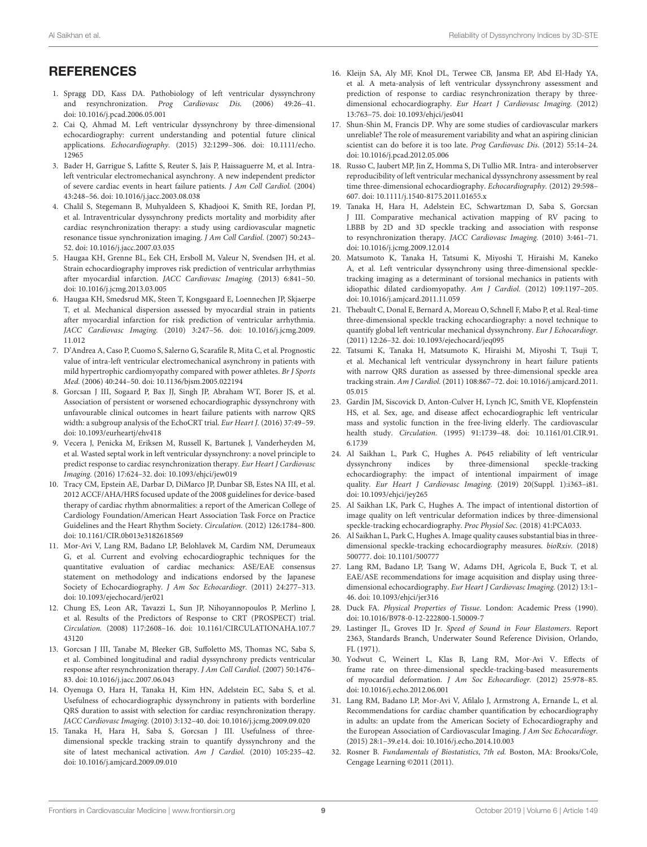#### **REFERENCES**

- <span id="page-8-0"></span>1. Spragg DD, Kass DA. Pathobiology of left ventricular dyssynchrony and resynchronization. Prog Cardiovasc Dis. (2006) 49:26–41. doi: [10.1016/j.pcad.2006.05.001](https://doi.org/10.1016/j.pcad.2006.05.001)
- <span id="page-8-1"></span>2. Cai Q, Ahmad M. Left ventricular dyssynchrony by three-dimensional echocardiography: current understanding and potential future clinical applications. Echocardiography. [\(2015\) 32:1299–306. doi: 10.1111/echo.](https://doi.org/10.1111/echo.12965) 12965
- <span id="page-8-2"></span>3. Bader H, Garrigue S, Lafitte S, Reuter S, Jais P, Haissaguerre M, et al. Intraleft ventricular electromechanical asynchrony. A new independent predictor of severe cardiac events in heart failure patients. J Am Coll Cardiol. (2004) 43:248–56. doi: [10.1016/j.jacc.2003.08.038](https://doi.org/10.1016/j.jacc.2003.08.038)
- 4. Chalil S, Stegemann B, Muhyaldeen S, Khadjooi K, Smith RE, Jordan PJ, et al. Intraventricular dyssynchrony predicts mortality and morbidity after cardiac resynchronization therapy: a study using cardiovascular magnetic resonance tissue synchronization imaging. J Am Coll Cardiol. (2007) 50:243– 52. doi: [10.1016/j.jacc.2007.03.035](https://doi.org/10.1016/j.jacc.2007.03.035)
- 5. Haugaa KH, Grenne BL, Eek CH, Ersboll M, Valeur N, Svendsen JH, et al. Strain echocardiography improves risk prediction of ventricular arrhythmias after myocardial infarction. JACC Cardiovasc Imaging. (2013) 6:841–50. doi: [10.1016/j.jcmg.2013.03.005](https://doi.org/10.1016/j.jcmg.2013.03.005)
- 6. Haugaa KH, Smedsrud MK, Steen T, Kongsgaard E, Loennechen JP, Skjaerpe T, et al. Mechanical dispersion assessed by myocardial strain in patients after myocardial infarction for risk prediction of ventricular arrhythmia. JACC Cardiovasc Imaging. [\(2010\) 3:247–56. doi: 10.1016/j.jcmg.2009.](https://doi.org/10.1016/j.jcmg.2009.11.012) 11.012
- 7. D'Andrea A, Caso P, Cuomo S, Salerno G, Scarafile R, Mita C, et al. Prognostic value of intra-left ventricular electromechanical asynchrony in patients with mild hypertrophic cardiomyopathy compared with power athletes. Br J Sports Med. (2006) 40:244–50. doi: [10.1136/bjsm.2005.022194](https://doi.org/10.1136/bjsm.2005.022194)
- 8. Gorcsan J III, Sogaard P, Bax JJ, Singh JP, Abraham WT, Borer JS, et al. Association of persistent or worsened echocardiographic dyssynchrony with unfavourable clinical outcomes in heart failure patients with narrow QRS width: a subgroup analysis of the EchoCRT trial. Eur Heart J. (2016) 37:49–59. doi: [10.1093/eurheartj/ehv418](https://doi.org/10.1093/eurheartj/ehv418)
- <span id="page-8-3"></span>9. Vecera J, Penicka M, Eriksen M, Russell K, Bartunek J, Vanderheyden M, et al. Wasted septal work in left ventricular dyssynchrony: a novel principle to predict response to cardiac resynchronization therapy. Eur Heart J Cardiovasc Imaging. (2016) 17:624–32. doi: [10.1093/ehjci/jew019](https://doi.org/10.1093/ehjci/jew019)
- <span id="page-8-4"></span>10. Tracy CM, Epstein AE, Darbar D, DiMarco JP, Dunbar SB, Estes NA III, et al. 2012 ACCF/AHA/HRS focused update of the 2008 guidelines for device-based therapy of cardiac rhythm abnormalities: a report of the American College of Cardiology Foundation/American Heart Association Task Force on Practice Guidelines and the Heart Rhythm Society. Circulation. (2012) 126:1784–800. doi: [10.1161/CIR.0b013e3182618569](https://doi.org/10.1161/CIR.0b013e3182618569)
- <span id="page-8-5"></span>11. Mor-Avi V, Lang RM, Badano LP, Belohlavek M, Cardim NM, Derumeaux G, et al. Current and evolving echocardiographic techniques for the quantitative evaluation of cardiac mechanics: ASE/EAE consensus statement on methodology and indications endorsed by the Japanese Society of Echocardiography. J Am Soc Echocardiogr. (2011) 24:277-313. doi: [10.1093/ejechocard/jer021](https://doi.org/10.1093/ejechocard/jer021)
- <span id="page-8-6"></span>12. Chung ES, Leon AR, Tavazzi L, Sun JP, Nihoyannopoulos P, Merlino J, et al. Results of the Predictors of Response to CRT (PROSPECT) trial. Circulation. [\(2008\) 117:2608–16. doi: 10.1161/CIRCULATIONAHA.107.7](https://doi.org/10.1161/CIRCULATIONAHA.107.743120) 43120
- <span id="page-8-7"></span>13. Gorcsan J III, Tanabe M, Bleeker GB, Suffoletto MS, Thomas NC, Saba S, et al. Combined longitudinal and radial dyssynchrony predicts ventricular response after resynchronization therapy. J Am Coll Cardiol. (2007) 50:1476– 83. doi: [10.1016/j.jacc.2007.06.043](https://doi.org/10.1016/j.jacc.2007.06.043)
- <span id="page-8-8"></span>14. Oyenuga O, Hara H, Tanaka H, Kim HN, Adelstein EC, Saba S, et al. Usefulness of echocardiographic dyssynchrony in patients with borderline QRS duration to assist with selection for cardiac resynchronization therapy. JACC Cardiovasc Imaging. (2010) 3:132–40. doi: [10.1016/j.jcmg.2009.09.020](https://doi.org/10.1016/j.jcmg.2009.09.020)
- <span id="page-8-9"></span>15. Tanaka H, Hara H, Saba S, Gorcsan J III. Usefulness of threedimensional speckle tracking strain to quantify dyssynchrony and the site of latest mechanical activation. Am J Cardiol. (2010) 105:235–42. doi: [10.1016/j.amjcard.2009.09.010](https://doi.org/10.1016/j.amjcard.2009.09.010)
- <span id="page-8-10"></span>16. Kleijn SA, Aly MF, Knol DL, Terwee CB, Jansma EP, Abd El-Hady YA, et al. A meta-analysis of left ventricular dyssynchrony assessment and prediction of response to cardiac resynchronization therapy by threedimensional echocardiography. Eur Heart J Cardiovasc Imaging. (2012) 13:763–75. doi: [10.1093/ehjci/jes041](https://doi.org/10.1093/ehjci/jes041)
- <span id="page-8-11"></span>17. Shun-Shin M, Francis DP. Why are some studies of cardiovascular markers unreliable? The role of measurement variability and what an aspiring clinician scientist can do before it is too late. Prog Cardiovasc Dis. (2012) 55:14–24. doi: [10.1016/j.pcad.2012.05.006](https://doi.org/10.1016/j.pcad.2012.05.006)
- <span id="page-8-12"></span>18. Russo C, Jaubert MP, Jin Z, Homma S, Di Tullio MR. Intra- and interobserver reproducibility of left ventricular mechanical dyssynchrony assessment by real time three-dimensional echocardiography. Echocardiography. (2012) 29:598– 607. doi: [10.1111/j.1540-8175.2011.01655.x](https://doi.org/10.1111/j.1540-8175.2011.01655.x)
- <span id="page-8-13"></span>19. Tanaka H, Hara H, Adelstein EC, Schwartzman D, Saba S, Gorcsan J III. Comparative mechanical activation mapping of RV pacing to LBBB by 2D and 3D speckle tracking and association with response to resynchronization therapy. JACC Cardiovasc Imaging. (2010) 3:461–71. doi: [10.1016/j.jcmg.2009.12.014](https://doi.org/10.1016/j.jcmg.2009.12.014)
- 20. Matsumoto K, Tanaka H, Tatsumi K, Miyoshi T, Hiraishi M, Kaneko A, et al. Left ventricular dyssynchrony using three-dimensional speckletracking imaging as a determinant of torsional mechanics in patients with idiopathic dilated cardiomyopathy. Am J Cardiol. (2012) 109:1197–205. doi: [10.1016/j.amjcard.2011.11.059](https://doi.org/10.1016/j.amjcard.2011.11.059)
- <span id="page-8-25"></span>21. Thebault C, Donal E, Bernard A, Moreau O, Schnell F, Mabo P, et al. Real-time three-dimensional speckle tracking echocardiography: a novel technique to quantify global left ventricular mechanical dyssynchrony. Eur J Echocardiogr. (2011) 12:26–32. doi: [10.1093/ejechocard/jeq095](https://doi.org/10.1093/ejechocard/jeq095)
- <span id="page-8-14"></span>22. Tatsumi K, Tanaka H, Matsumoto K, Hiraishi M, Miyoshi T, Tsuji T, et al. Mechanical left ventricular dyssynchrony in heart failure patients with narrow QRS duration as assessed by three-dimensional speckle area tracking strain. Am J Cardiol. [\(2011\) 108:867–72. doi: 10.1016/j.amjcard.2011.](https://doi.org/10.1016/j.amjcard.2011.05.015) 05.015
- <span id="page-8-15"></span>23. Gardin JM, Siscovick D, Anton-Culver H, Lynch JC, Smith VE, Klopfenstein HS, et al. Sex, age, and disease affect echocardiographic left ventricular mass and systolic function in the free-living elderly. The cardiovascular health study. Circulation. [\(1995\) 91:1739–48. doi: 10.1161/01.CIR.91.](https://doi.org/10.1161/01.CIR.91.6.1739) 6.1739
- <span id="page-8-16"></span>24. Al Saikhan L, Park C, Hughes A. P645 reliability of left ventricular dyssynchrony indices by three-dimensional speckle-tracking echocardiography: the impact of intentional impairment of image quality. Eur Heart J Cardiovasc Imaging. (2019) 20(Suppl. 1):i363–i81. doi: [10.1093/ehjci/jey265](https://doi.org/10.1093/ehjci/jey265)
- <span id="page-8-17"></span>25. Al Saikhan LK, Park C, Hughes A. The impact of intentional distortion of image quality on left ventricular deformation indices by three-dimensional speckle-tracking echocardiography. Proc Physiol Soc. (2018) 41:PCA033.
- <span id="page-8-18"></span>26. Al Saikhan L, Park C, Hughes A. Image quality causes substantial bias in threedimensional speckle-tracking echocardiography measures. bioRxiv. (2018) 500777. doi: [10.1101/500777](https://doi.org/10.1101/500777)
- <span id="page-8-19"></span>27. Lang RM, Badano LP, Tsang W, Adams DH, Agricola E, Buck T, et al. EAE/ASE recommendations for image acquisition and display using threedimensional echocardiography. Eur Heart J Cardiovasc Imaging. (2012) 13:1– 46. doi: [10.1093/ehjci/jer316](https://doi.org/10.1093/ehjci/jer316)
- <span id="page-8-20"></span>28. Duck FA. Physical Properties of Tissue. London: Academic Press (1990). doi: [10.1016/B978-0-12-222800-1.50009-7](https://doi.org/10.1016/B978-0-12-222800-1.50009-7)
- <span id="page-8-21"></span>29. Lastinger JL, Groves ID Jr. Speed of Sound in Four Elastomers. Report 2363, Standards Branch, Underwater Sound Reference Division, Orlando, FL (1971).
- <span id="page-8-22"></span>30. Yodwut C, Weinert L, Klas B, Lang RM, Mor-Avi V. Effects of frame rate on three-dimensional speckle-tracking-based measurements of myocardial deformation. J Am Soc Echocardiogr. (2012) 25:978–85. doi: [10.1016/j.echo.2012.06.001](https://doi.org/10.1016/j.echo.2012.06.001)
- <span id="page-8-23"></span>31. Lang RM, Badano LP, Mor-Avi V, Afilalo J, Armstrong A, Ernande L, et al. Recommendations for cardiac chamber quantification by echocardiography in adults: an update from the American Society of Echocardiography and the European Association of Cardiovascular Imaging. J Am Soc Echocardiogr. (2015) 28:1–39.e14. doi: [10.1016/j.echo.2014.10.003](https://doi.org/10.1016/j.echo.2014.10.003)
- <span id="page-8-24"></span>32. Rosner B. Fundamentals of Biostatistics, 7th ed. Boston, MA: Brooks/Cole, Cengage Learning ©2011 (2011).